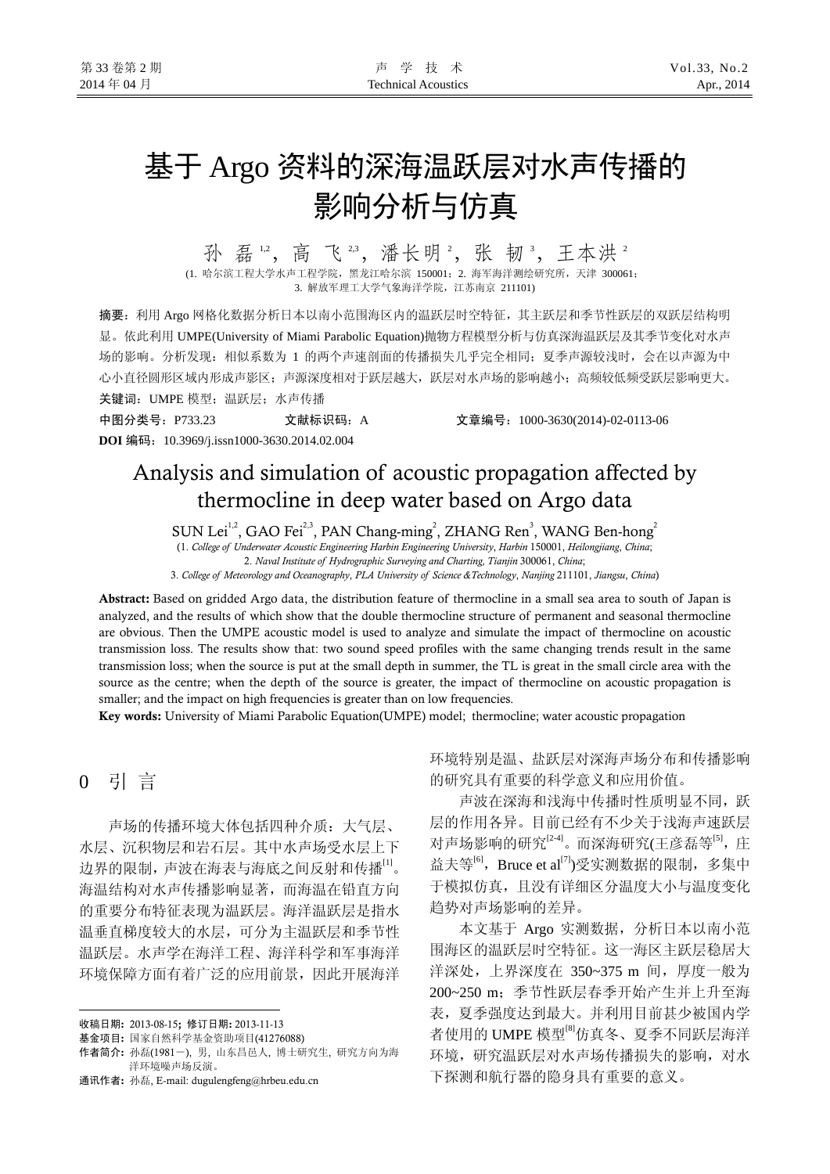# 基于 Argo 资料的深海温跃层对水声传播的 影响分析与仿真

孙 磊 12, 高 飞 23, 潘长明 2, 张 韧 3, 王本洪 2

(1. 哈尔滨工程大学水声工程学院,黑龙江哈尔滨 150001; 2. 海军海洋测绘研究所, 天津 300061; 3. 解放军理工大学气象海洋学院,江苏南京 211101)

摘要:利用 Argo 网格化数据分析日本以南小范围海区内的温跃层时空特征,其主跃层和季节性跃层的双跃层结构明 显。依此利用 UMPE(University of Miami Parabolic Equation)抛物方程模型分析与仿真深海温跃层及其季节变化对水声 场的影响。分析发现:相似系数为 1 的两个声速剖面的传播损失几乎完全相同;夏季声源较浅时,会在以声源为中 心小直径圆形区域内形成声影区;声源深度相对于跃层越大,跃层对水声场的影响越小;高频较低频受跃层影响更大。 关键词:UMPE 模型;温跃层;水声传播

中图分类号:P733.23 文献标识码:A 文章编号:1000-3630(2014)-02-0113-06 **DOI** 编码:10.3969/j.issn1000-3630.2014.02.004

## Analysis and simulation of acoustic propagation affected by thermocline in deep water based on Argo data

SUN Lei<sup>1,2</sup>, GAO Fei<sup>2,3</sup>, PAN Chang-ming<sup>2</sup>, ZHANG Ren<sup>3</sup>, WANG Ben-hong<sup>2</sup>

(1. *College of Underwater Acoustic Engineering Harbin Engineering University*, *Harbin* 150001, *Heilongjiang*, *China*;

2. *Naval Institute of Hydrographic Surveying and Charting, Tianjin* 300061, *China*;

3. *College of Meteorology and Oceanography*, *PLA University of Science &Technology*, *Nanjing* 211101, *Jiangsu*, *China*)

Abstract: Based on gridded Argo data, the distribution feature of thermocline in a small sea area to south of Japan is analyzed, and the results of which show that the double thermocline structure of permanent and seasonal thermocline are obvious. Then the UMPE acoustic model is used to analyze and simulate the impact of thermocline on acoustic transmission loss. The results show that: two sound speed profiles with the same changing trends result in the same transmission loss; when the source is put at the small depth in summer, the TL is great in the small circle area with the source as the centre; when the depth of the source is greater, the impact of thermocline on acoustic propagation is smaller; and the impact on high frequencies is greater than on low frequencies.

Key words: University of Miami Parabolic Equation(UMPE) model; thermocline; water acoustic propagation

### 0 引 言

 $\overline{a}$ 

声场的传播环境大体包括四种介质:大气层、 水层、沉积物层和岩石层。其中水声场受水层上下 边界的限制,声波在海表与海底之间反射和传播[1]。 海温结构对水声传播影响显著,而海温在铅直方向 的重要分布特征表现为温跃层。海洋温跃层是指水 温垂直梯度较大的水层,可分为主温跃层和季节性 温跃层。水声学在海洋工程、海洋科学和军事海洋 环境保障方面有着广泛的应用前景,因此开展海洋

环境特别是温、盐跃层对深海声场分布和传播影响 的研究具有重要的科学意义和应用价值。

声波在深海和浅海中传播时性质明显不同,跃 层的作用各异。目前已经有不少关于浅海声速跃层 对声场影响的研究<sup>[24]</sup>。而深海研究(王彦磊等<sup>[5]</sup>,庄 益夫等<sup>[6]</sup>, Bruce et al<sup>[7]</sup>)受实测数据的限制, 多集中 于模拟仿真,且没有详细区分温度大小与温度变化 趋势对声场影响的差异。

本文基于 Argo 实测数据,分析日本以南小范 围海区的温跃层时空特征。这一海区主跃层稳居大 洋深处, 上界深度在 350~375 m 间, 厚度一般为 200~250 m;季节性跃层春季开始产生并上升至海 表,夏季强度达到最大。并利用目前甚少被国内学 者使用的 UMPE 模型<sup>[8]</sup>仿真冬、夏季不同跃层海洋 环境,研究温跃层对水声场传播损失的影响,对水 下探测和航行器的隐身具有重要的意义。

收稿日期: 2013-08-15; 修订日期: 2013-11-13

基金项目: 国家自然科学基金资助项目(41276088)

作者简介: 孙磊(1981-), 男, 山东昌邑人, 博士研究生, 研究方向为海 洋环境噪声场反演。

通讯作者: 孙磊, E-mail: dugulengfeng@hrbeu.edu.cn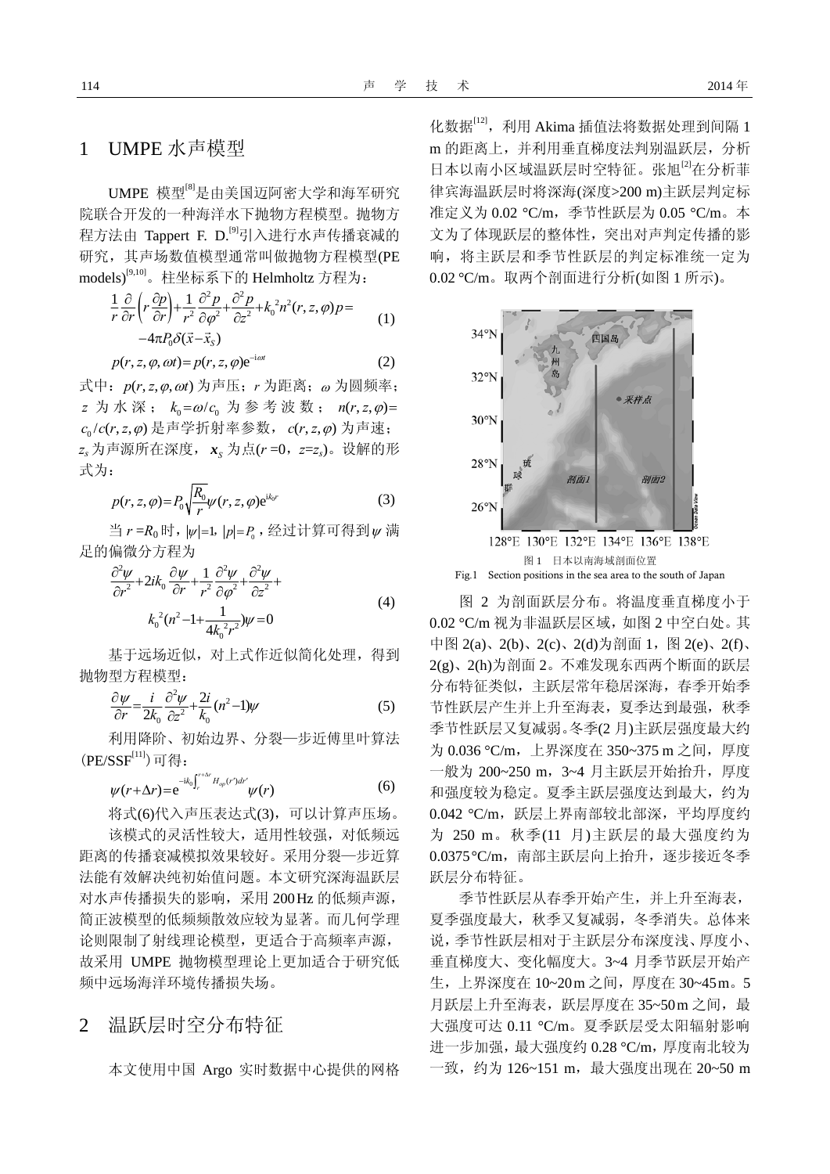#### 1 UMPE 水声模型

UMPE 模型[8]是由美国迈阿密大学和海军研究 院联合开发的一种海洋水下抛物方程模型。抛物方 程方法由 Tappert F. D.<sup>[9]</sup>引入进行水声传播衰减的 研究,其声场数值模型通常叫做抛物方程模型(PE models)[9,10]。柱坐标系下的 Helmholtz 方程为:

$$
\frac{1}{r}\frac{\partial}{\partial r}\left(r\frac{\partial p}{\partial r}\right) + \frac{1}{r^2}\frac{\partial^2 p}{\partial \varphi^2} + \frac{\partial^2 p}{\partial z^2} + k_0^2 n^2(r, z, \varphi)p = -4\pi P_0 \delta(\vec{x} - \vec{x}_s)
$$
\n(1)

$$
p(r, z, \varphi, \omega t) = p(r, z, \varphi) e^{-i\omega t}
$$
 (2)

式中:  $p(r, z, φ, ωt)$  为声压; r 为距离; ω 为圆频率;  $z \nrightarrow \pi$  水 深;  $k_0 = \omega / c_0 \nrightarrow \pi$  参 考 波 数;  $n(r, z, \varphi) =$  $c_0$ /  $c(r, z, φ)$ 是声学折射率参数,  $c(r, z, φ)$  为声速; *zs* 为声源所在深度, *<sup>S</sup> x* 为点(*r* =0,*z*=*zs*)。设解的形 式为:

$$
p(r, z, \varphi) = P_0 \sqrt{\frac{R_0}{r}} \psi(r, z, \varphi) e^{ik_0 r}
$$
 (3)

当 $r = R_0$ 时,  $|v|=1$ ,  $|p|=P_0$ , 经过计算可得到 $v$ 满 足的偏微分方程为

$$
\frac{\partial^2 \psi}{\partial r^2} + 2ik_0 \frac{\partial \psi}{\partial r} + \frac{1}{r^2} \frac{\partial^2 \psi}{\partial \varphi^2} + \frac{\partial^2 \psi}{\partial z^2} +
$$
  

$$
k_0^2 (n^2 - 1 + \frac{1}{4k_0^2 r^2}) \psi = 0
$$
 (4)

基于远场近似,对上式作近似简化处理,得到 抛物型方程模型:

$$
\frac{\partial \psi}{\partial r} = \frac{i}{2k_0} \frac{\partial^2 \psi}{\partial z^2} + \frac{2i}{k_0} (n^2 - 1)\psi
$$
\n(5)

利用降阶、初始边界、分裂—步近傅里叶算法  $(PE/SSF<sup>[11]</sup>)$ 可得:

$$
\psi(r+\Delta r) = e^{-ik_0\int_r^{r+\Delta r} H_{op}(r')dr'} \psi(r) \tag{6}
$$

将式(6)代入声压表达式(3),可以计算声压场。 该模式的灵活性较大,适用性较强,对低频远 距离的传播衰减模拟效果较好。采用分裂—步近算 法能有效解决纯初始值问题。本文研究深海温跃层 对水声传播损失的影响,采用 200Hz 的低频声源, 简正波模型的低频频散效应较为显著。而几何学理 论则限制了射线理论模型,更适合于高频率声源, 故采用 UMPE 抛物模型理论上更加适合于研究低 频中远场海洋环境传播损失场。

2 温跃层时空分布特征

本文使用中国 Argo 实时数据中心提供的网格

化数据[12], 利用 Akima 插值法将数据处理到间隔 1 m 的距离上,并利用垂直梯度法判别温跃层,分析 日本以南小区域温跃层时空特征。张旭[2]在分析菲 律宾海温跃层时将深海(深度>200 m)主跃层判定标 准定义为 0.02 °C/m,季节性跃层为 0.05 °C/m。本 文为了体现跃层的整体性,突出对声判定传播的影 响,将主跃层和季节性跃层的判定标准统一定为 0.02 °C/m。取两个剖面进行分析(如图 1 所示)。



Fig.1 Section positions in the sea area to the south of Japan

图 2 为剖面跃层分布。将温度垂直梯度小于 0.02 °C/m 视为非温跃层区域,如图 2 中空白处。其 中图 2(a)、2(b)、2(c)、2(d)为剖面 1, 图 2(e)、2(f)、 2(g)、2(h)为剖面 2。不难发现东西两个断面的跃层 分布特征类似,主跃层常年稳居深海,春季开始季 节性跃层产生并上升至海表,夏季达到最强,秋季 季节性跃层又复减弱。冬季(2 月)主跃层强度最大约 为 0.036 °C/m, 上界深度在 350~375 m 之间, 厚度 一般为 200~250 m,3~4 月主跃层开始抬升,厚度 和强度较为稳定。夏季主跃层强度达到最大,约为 0.042 °C/m,跃层上界南部较北部深,平均厚度约 为 250 m。秋季(11 月)主跃层的最大强度约为 0.0375 °C/m,南部主跃层向上抬升,逐步接近冬季 跃层分布特征。

季节性跃层从春季开始产生,并上升至海表, 夏季强度最大,秋季又复减弱,冬季消失。总体来 说,季节性跃层相对于主跃层分布深度浅、厚度小、 垂直梯度大、变化幅度大。3~4 月季节跃层开始产 生, 上界深度在 10~20m 之间, 厚度在 30~45m。5 月跃层上升至海表,跃层厚度在 35~50m 之间, 最 大强度可达 0.11 °C/m。夏季跃层受太阳辐射影响 进一步加强,最大强度约 0.28 °C/m,厚度南北较为 一致,约为 126~151 m,最大强度出现在 20~50 m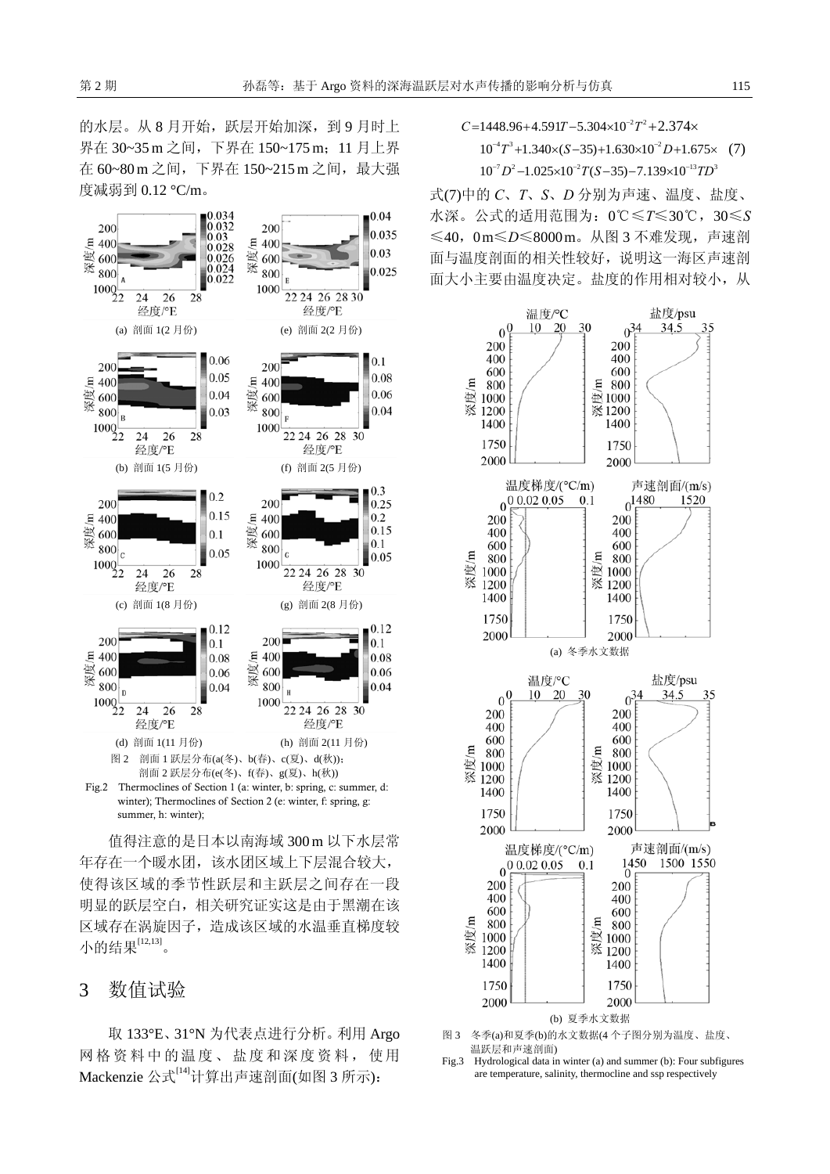的水层。从 8 月开始,跃层开始加深,到 9 月时上 界在 30~35 m 之间, 下界在 150~175 m; 11 月上界 在 60~80 m 之间, 下界在 150~215 m 之间, 最大强 度减弱到 0.12 °C/m。



summer, h: winter); 值得注意的是日本以南海域 300 m 以下水层常 年存在一个暖水团,该水团区域上下层混合较大,

使得该区域的季节性跃层和主跃层之间存在一段 明显的跃层空白,相关研究证实这是由于黑潮在该 区域存在涡旋因子,造成该区域的水温垂直梯度较 小的结果[12,13]。

#### 3 数值试验

取 133°E、31°N 为代表点进行分析。利用 Argo 网格资料中的温度、盐度和深度资料,使用 Mackenzie 公式[14]计算出声速剖面(如图 3 所示):

 $C = 1448.96 + 4.591T - 5.304 \times 10^{-2}T^2 + 2.374 \times$ 

$$
10^{-4}T^3 + 1.340 \times (S - 35) + 1.630 \times 10^{-2} D + 1.675 \times (7)
$$
  

$$
10^{-7}D^2 - 1.025 \times 10^{-2} T (S - 35) - 7.139 \times 10^{-13} T D^3
$$

式(7)中的 *C*、*T*、*S*、*D* 分别为声速、温度、盐度、 水深。公式的适用范围为:0℃≤*T*≤30℃,30≤*S* ≤40,0 m≤*D*≤8000 m。从图 3 不难发现,声速剖 面与温度剖面的相关性较好,说明这一海区声速剖 面大小主要由温度决定。盐度的作用相对较小,从



- 图 3 冬季(a)和夏季(b)的水文数据(4 个子图分别为温度、盐度、 温跃层和声速剖面)
- Fig.3 Hydrological data in winter (a) and summer (b): Four subfigures are temperature, salinity, thermocline and ssp respectively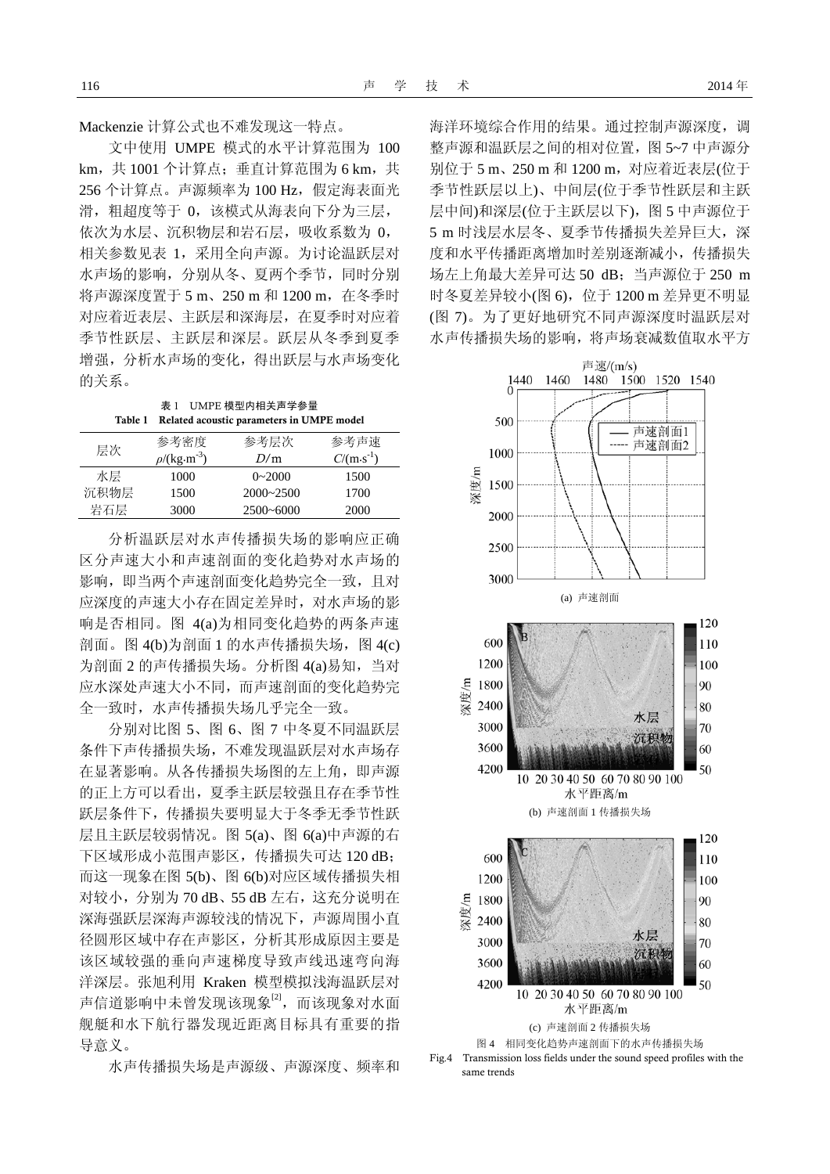Mackenzie 计算公式也不难发现这一特点。

文中使用 UMPE 模式的水平计算范围为 100 km, 共1001 个计算点;垂直计算范围为 6 km, 共 256 个计算点。声源频率为 100 Hz, 假定海表面光 滑,粗超度等于 0,该模式从海表向下分为三层, 依次为水层、沉积物层和岩石层,吸收系数为 0, 相关参数见表 1,采用全向声源。为讨论温跃层对 水声场的影响,分别从冬、夏两个季节,同时分别 将声源深度置于 5 m、250 m 和 1200 m, 在冬季时 对应着近表层、主跃层和深海层,在夏季时对应着 季节性跃层、主跃层和深层。跃层从冬季到夏季 增强,分析水声场的变化,得出跃层与水声场变化 的关系。

表 1 UMPE 模型内相关声学参量 Table 1 Related acoustic parameters in UMPE model

| 层次   | 参考密度                          | 参考层次          | 参考声谏                 |
|------|-------------------------------|---------------|----------------------|
|      | $\rho$ /(kg·m <sup>-3</sup> ) | D/m           | $C/(m \cdot s^{-1})$ |
| 水层   | 1000                          | $0 - 2000$    | 1500                 |
| 沉积物层 | 1500                          | $2000 - 2500$ | 1700                 |
| 岩石层  | 3000                          | $2500 - 6000$ | 2000                 |

分析温跃层对水声传播损失场的影响应正确 区分声速大小和声速剖面的变化趋势对水声场的 影响, 即当两个声速剖面变化趋势完全一致, 且对 应深度的声速大小存在固定差异时,对水声场的影 响是否相同。图 4(a)为相同变化趋势的两条声速 剖面。图 4(b)为剖面 1 的水声传播损失场,图 4(c) 为剖面 2 的声传播损失场。分析图 4(a)易知,当对 应水深处声速大小不同,而声速剖面的变化趋势完 全一致时,水声传播损失场几乎完全一致。

分别对比图 5、图 6、图 7 中冬夏不同温跃层 条件下声传播损失场,不难发现温跃层对水声场存 在显著影响。从各传播损失场图的左上角,即声源 的正上方可以看出,夏季主跃层较强且存在季节性 跃层条件下,传播损失要明显大于冬季无季节性跃 层且主跃层较弱情况。图 6(a)中声源的右 5(a)、图 下区域形成小范围声影区,传播损失可达 120 dB; 而 这一现象在图 5(b)、图 6(b)对应区域传播损失相 对较小, 分别为 70 dB、55 dB 左右, 这充分说明在 深海 强跃层深海声源较浅的情况下,声源周围小直 径圆形区域中存在声影区,分析其形成原因主要是 该区域较强的垂向声速梯度导致声线迅速弯向海 洋深层。张旭利用 Kraken 模型模拟浅海温跃层对 声信道影响中未曾发现该现象<sup>[2]</sup>,而该现象对水面 舰艇和水下航行器发现近距离目标具有重要的指 导意义。

水声传播损失场是声源级、声源深度、频率和

季节性跃层以上)、中间层(位于季节性跃层和主跃 层中间)和深层(位于主跃层以下), 图 5 中声源位于 5 m 时浅层水层冬、夏季节传播损失差异巨大, 深 度和水平传播距离增加时差别逐渐减小,传播损失 场左上角最大差异可达 50 dB; 当声源位于 250 m 时冬夏差异较小(图 6),位于 1200 m 差异更不明显 (图 7)。为了更好地研究不同声源深度时温跃层对 水声传播损 失场的影响,将声场衰减数值取水平方 海洋环境综合作用的结果。通过控制声源深度,调 整声源和温跃层之间的相对位置,图 5~7 中声源分 别位于 5 m、250 m 和 1200 m, 对应着近表层(位于



Fig.4 Transmission loss fields under the sound speed profiles with the same trends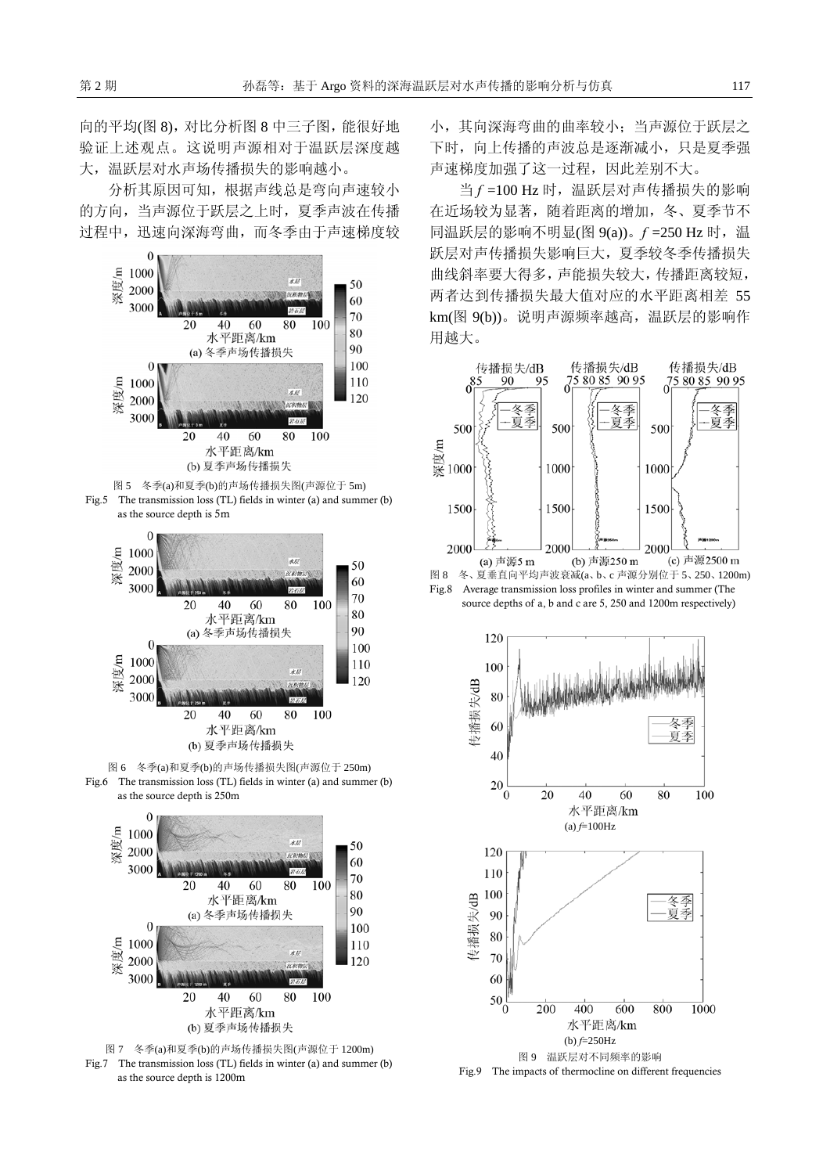向的平均(图 8),对比分析图 8 中三子图,能很好地 验证上述观点。这说明声源相对于温跃层深度越 大,温跃层对水声场传播损失的影响越小。

分析其原因可知,根据声线总是弯向声速较小 的方向,当声源位于跃层之上时,夏季声波在传播 过程中,迅速向深海弯曲,而冬季由于声速梯度较



Fig.5 The transmission loss (TL) fields in winter (a) and summer (b) as the source depth is 5m



图 6 冬季(a)和夏季(b)的声场传播损失图(声源位于 250m) Fig.6 The transmission loss (TL) fields in winter (a) and summer (b) as the source depth is 250m





小,其向深海弯曲的曲率较小;当声源位于跃层之 下时,向上传播的声波总是逐渐减小,只是夏季强 声速梯度加强了这一过程,因此差别不大。

当 *f* =100 Hz 时,温跃层对声传播损失的影响 在近场较为显著,随着距离的增加,冬、夏季节不 同温跃层的影响不明显(图 9(a))。*f* =250 Hz 时,温 跃层对声传播损失影响巨大,夏季较冬季传播损失 曲线斜率要大得多,声能损失较大,传播距离较短, 两者达到传播损失最大值对应的水平距离相差 55 km(图 9(b))。说明声源频率越高,温跃层的影响作 用越大。